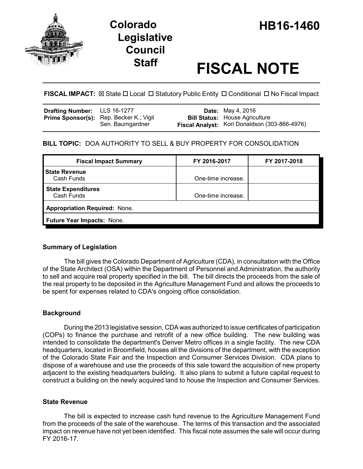

# **Legislative Council**

# **Staff FISCAL NOTE**

**FISCAL IMPACT:**  $\boxtimes$  State  $\Box$  Local  $\Box$  Statutory Public Entity  $\Box$  Conditional  $\Box$  No Fiscal Impact

| <b>Drafting Number:</b> LLS 16-1277 |                                                | <b>Date:</b> May 4, 2016                      |
|-------------------------------------|------------------------------------------------|-----------------------------------------------|
|                                     | <b>Prime Sponsor(s):</b> Rep. Becker K.; Vigil | <b>Bill Status: House Agriculture</b>         |
|                                     | Sen. Baumgardner                               | Fiscal Analyst: Kori Donaldson (303-866-4976) |

# **BILL TOPIC:** DOA AUTHORITY TO SELL & BUY PROPERTY FOR CONSOLIDATION

| <b>Fiscal Impact Summary</b>            | FY 2016-2017       | FY 2017-2018 |  |  |
|-----------------------------------------|--------------------|--------------|--|--|
| <b>State Revenue</b><br>Cash Funds      | One-time increase. |              |  |  |
| <b>State Expenditures</b><br>Cash Funds | One-time increase. |              |  |  |
| <b>Appropriation Required: None.</b>    |                    |              |  |  |
| Future Year Impacts: None.              |                    |              |  |  |
|                                         |                    |              |  |  |

# **Summary of Legislation**

The bill gives the Colorado Department of Agriculture (CDA), in consultation with the Office of the State Architect (OSA) within the Department of Personnel and Administration, the authority to sell and acquire real property specified in the bill. The bill directs the proceeds from the sale of the real property to be deposited in the Agriculture Management Fund and allows the proceeds to be spent for expenses related to CDA's ongoing office consolidation.

# **Background**

During the 2013 legislative session, CDA was authorized to issue certificates of participation (COPs) to finance the purchase and retrofit of a new office building. The new building was intended to consolidate the department's Denver Metro offices in a single facility. The new CDA headquarters, located in Broomfield, houses all the divisions of the department, with the exception of the Colorado State Fair and the Inspection and Consumer Services Division. CDA plans to dispose of a warehouse and use the proceeds of this sale toward the acquisition of new property adjacent to the existing headquarters building. It also plans to submit a future capital request to construct a building on the newly acquired land to house the Inspection and Consumer Services.

### **State Revenue**

The bill is expected to increase cash fund revenue to the Agriculture Management Fund from the proceeds of the sale of the warehouse. The terms of this transaction and the associated impact on revenue have not yet been identified. This fiscal note assumes the sale will occur during FY 2016-17.